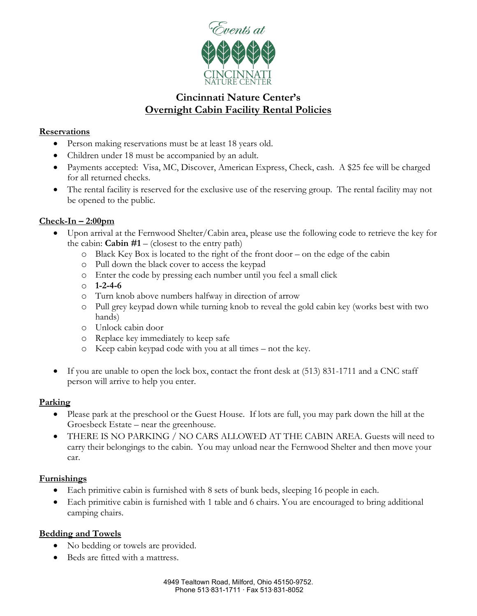

# **Cincinnati Nature Center's Overnight Cabin Facility Rental Policies**

### **Reservations**

- Person making reservations must be at least 18 years old.
- Children under 18 must be accompanied by an adult.
- Payments accepted: Visa, MC, Discover, American Express, Check, cash. A \$25 fee will be charged for all returned checks.
- The rental facility is reserved for the exclusive use of the reserving group. The rental facility may not be opened to the public.

### **Check-In – 2:00pm**

- Upon arrival at the Fernwood Shelter/Cabin area, please use the following code to retrieve the key for the cabin: **Cabin #1** – (closest to the entry path)
	- o Black Key Box is located to the right of the front door on the edge of the cabin
	- o Pull down the black cover to access the keypad
	- o Enter the code by pressing each number until you feel a small click
	- o **1-2-4-6**
	- o Turn knob above numbers halfway in direction of arrow
	- o Pull grey keypad down while turning knob to reveal the gold cabin key (works best with two hands)
	- o Unlock cabin door
	- o Replace key immediately to keep safe
	- o Keep cabin keypad code with you at all times not the key.
- If you are unable to open the lock box, contact the front desk at (513) 831-1711 and a CNC staff person will arrive to help you enter.

### **Parking**

- Please park at the preschool or the Guest House. If lots are full, you may park down the hill at the Groesbeck Estate – near the greenhouse.
- THERE IS NO PARKING / NO CARS ALLOWED AT THE CABIN AREA. Guests will need to carry their belongings to the cabin. You may unload near the Fernwood Shelter and then move your car.

### **Furnishings**

- Each primitive cabin is furnished with 8 sets of bunk beds, sleeping 16 people in each.
- Each primitive cabin is furnished with 1 table and 6 chairs. You are encouraged to bring additional camping chairs.

### **Bedding and Towels**

- No bedding or towels are provided.
- Beds are fitted with a mattress.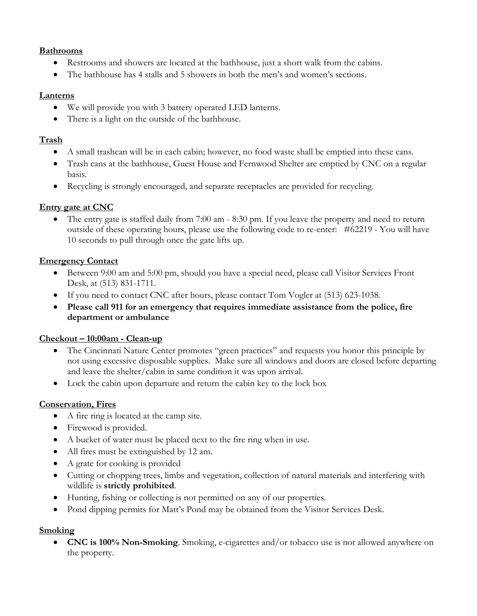## **Bathrooms**

- Restrooms and showers are located at the bathhouse, just a short walk from the cabins.
- The bathhouse has 4 stalls and 5 showers in both the men's and women's sections.

## **Lanterns**

- We will provide you with 3 battery operated LED lanterns.
- There is a light on the outside of the bathhouse.

## **Trash**

- A small trashcan will be in each cabin; however, no food waste shall be emptied into these cans.
- Trash cans at the bathhouse, Guest House and Fernwood Shelter are emptied by CNC on a regular basis.
- Recycling is strongly encouraged, and separate receptacles are provided for recycling.

## **Entry gate at CNC**

• The entry gate is staffed daily from 7:00 am - 8:30 pm. If you leave the property and need to return outside of these operating hours, please use the following code to re-enter: #62219 - You will have 10 seconds to pull through once the gate lifts up.

## **Emergency Contact**

- Between 9:00 am and 5:00 pm, should you have a special need, please call Visitor Services Front Desk, at (513) 831-1711.
- If you need to contact CNC after hours, please contact Tom Vogler at (513) 623-1038.
- **Please call 911 for an emergency that requires immediate assistance from the police, fire department or ambulance**

## **Checkout – 10:00am - Clean-up**

- The Cincinnati Nature Center promotes "green practices" and requests you honor this principle by not using excessive disposable supplies. Make sure all windows and doors are closed before departing and leave the shelter/cabin in same condition it was upon arrival.
- Lock the cabin upon departure and return the cabin key to the lock box

## **Conservation, Fires**

- A fire ring is located at the camp site.
- Firewood is provided.
- A bucket of water must be placed next to the fire ring when in use.
- All fires must be extinguished by 12 am.
- A grate for cooking is provided
- Cutting or chopping trees, limbs and vegetation, collection of natural materials and interfering with wildlife is **strictly prohibited**.
- Hunting, fishing or collecting is not permitted on any of our properties.
- Pond dipping permits for Matt's Pond may be obtained from the Visitor Services Desk.

## **Smoking**

• **CNC is 100% Non-Smoking**. Smoking, e-cigarettes and/or tobacco use is not allowed anywhere on the property.